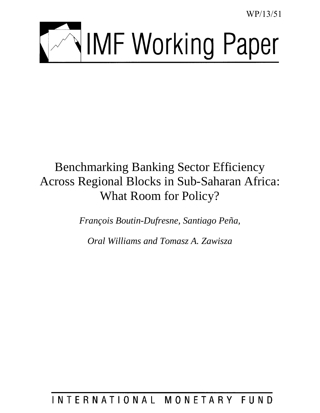WP/13/51



# Benchmarking Banking Sector Efficiency Across Regional Blocks in Sub-Saharan Africa: What Room for Policy?

*François Boutin-Dufresne, Santiago Peña,* 

*Oral Williams and Tomasz A. Zawisza* 

# INTERNATIONAL MONETARY FUND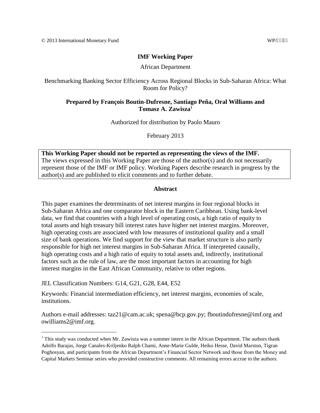# **IMF Working Paper**

### African Department

Benchmarking Banking Sector Efficiency Across Regional Blocks in Sub-Saharan Africa: What Room for Policy?

# **Prepared by François Boutin-Dufresne, Santiago Peña, Oral Williams and Tomasz A. Zawisza<sup>1</sup>**

Authorized for distribution by Paolo Mauro

February 2013

**This Working Paper should not be reported as representing the views of the IMF.** The views expressed in this Working Paper are those of the author(s) and do not necessarily represent those of the IMF or IMF policy. Working Papers describe research in progress by the author(s) and are published to elicit comments and to further debate.

## **Abstract**

This paper examines the determinants of net interest margins in four regional blocks in Sub-Saharan Africa and one comparator block in the Eastern Caribbean. Using bank-level data, we find that countries with a high level of operating costs, a high ratio of equity to total assets and high treasury bill interest rates have higher net interest margins. Moreover, high operating costs are associated with low measures of institutional quality and a small size of bank operations. We find support for the view that market structure is also partly responsible for high net interest margins in Sub-Saharan Africa. If interpreted causally, high operating costs and a high ratio of equity to total assets and, indirectly, institutional factors such as the rule of law, are the most important factors in accounting for high interest margins in the East African Community, relative to other regions.

JEL Classification Numbers: G14, G21, G28, E44, E52

 $\overline{a}$ 

Keywords: Financial intermediation efficiency, net interest margins, economies of scale, institutions.

Authors e-mail addresses: taz21@cam.ac.uk; spena@bcp.gov.py; fboutindufresne@imf.org and owilliams2@imf.org.

 $1$  This study was conducted when Mr. Zawisza was a summer intern in the African Department. The authors thank Adolfo Barajas, Jorge Canales-Kriljenko Ralph Chami, Anne-Marie Gulde, Heiko Hesse, David Marston, Tigran Poghosyan, and participants from the African Department's Financial Sector Network and those from the Money and Capital Markets Seminar series who provided constructive comments. All remaining errors accrue to the authors.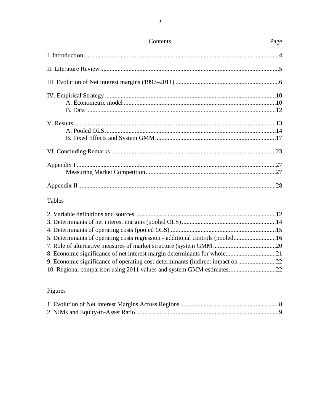# Tables

| 5. Determinants of operating costs regression - additional controls (pooled16 |  |
|-------------------------------------------------------------------------------|--|
|                                                                               |  |
|                                                                               |  |
| 9. Economic significance of operating cost determinants (indirect impact on   |  |
| 10. Regional comparison using 2011 values and system GMM estimates22          |  |

# Figures

Contents

Page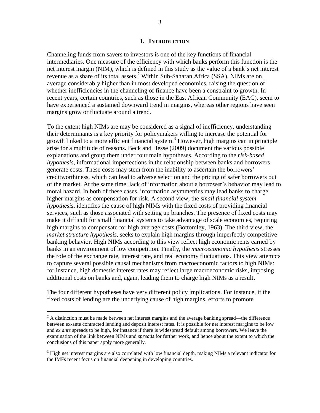#### **I. INTRODUCTION**

Channeling funds from savers to investors is one of the key functions of financial intermediaries. One measure of the efficiency with which banks perform this function is the net interest margin (NIM), which is defined in this study as the value of a bank's net interest revenue as a share of its total assets.**<sup>2</sup>** Within Sub-Saharan Africa (SSA), NIMs are on average considerably higher than in most developed economies, raising the question of whether inefficiencies in the channeling of finance have been a constraint to growth. In recent years, certain countries, such as those in the East African Community (EAC), seem to have experienced a sustained downward trend in margins, whereas other regions have seen margins grow or fluctuate around a trend.

To the extent high NIMs are may be considered as a signal of inefficiency, understanding their determinants is a key priority for policymakers willing to increase the potential for growth linked to a more efficient financial system. <sup>3</sup> However, high margins can in principle arise for a multitude of reasons**.** Beck and Hesse (2009) document the various possible explanations and group them under four main hypotheses. According to the *risk-based hypothesis*, informational imperfections in the relationship between banks and borrowers generate costs. These costs may stem from the inability to ascertain the borrowers' creditworthiness, which can lead to adverse selection and the pricing of safer borrowers out of the market. At the same time, lack of information about a borrower's behavior may lead to moral hazard. In both of these cases, information asymmetries may lead banks to charge higher margins as compensation for risk. A second view, the *small financial system hypothesis,* identifies the cause of high NIMs with the fixed costs of providing financial services, such as those associated with setting up branches. The presence of fixed costs may make it difficult for small financial systems to take advantage of scale economies, requiring high margins to compensate for high average costs (Bottomley, 1963). The third view, the *market structure hypothesis*, seeks to explain high margins through imperfectly competitive banking behavior. High NIMs according to this view reflect high economic rents earned by banks in an environment of low competition. Finally, the *macroeconomic hypothesis* stresses the role of the exchange rate, interest rate, and real economy fluctuations. This view attempts to capture several possible causal mechanisms from macroeconomic factors to high NIMs: for instance, high domestic interest rates may reflect large macroeconomic risks, imposing additional costs on banks and, again, leading them to charge high NIMs as a result.

The four different hypotheses have very different policy implications. For instance, if the fixed costs of lending are the underlying cause of high margins, efforts to promote

 $2$  A distinction must be made between net interest margins and the average banking spread—the difference between ex-ante contracted lending and deposit interest rates. It is possible for net interest margins to be low and *ex ante* spreads to be high, for instance if there is widespread default among borrowers. We leave the examination of the link between NIMs and *spreads* for further work, and hence about the extent to which the conclusions of this paper apply more generally.

<sup>&</sup>lt;sup>3</sup> High net interest margins are also correlated with low financial depth, making NIMs a relevant indicator for the IMFs recent focus on financial deepening in developing countries.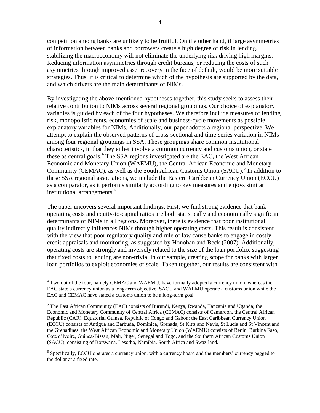competition among banks are unlikely to be fruitful. On the other hand, if large asymmetries of information between banks and borrowers create a high degree of risk in lending, stabilizing the macroeconomy will not eliminate the underlying risk driving high margins. Reducing information asymmetries through credit bureaus, or reducing the costs of such asymmetries through improved asset recovery in the face of default, would be more suitable strategies. Thus, it is critical to determine which of the hypothesis are supported by the data, and which drivers are the main determinants of NIMs.

By investigating the above-mentioned hypotheses together, this study seeks to assess their relative contribution to NIMs across several regional groupings. Our choice of explanatory variables is guided by each of the four hypotheses. We therefore include measures of lending risk, monopolistic rents, economies of scale and business-cycle movements as possible explanatory variables for NIMs. Additionally, our paper adopts a regional perspective. We attempt to explain the observed patterns of cross-sectional and time-series variation in NIMs among four regional groupings in SSA. These groupings share common institutional characteristics, in that they either involve a common currency and customs union, or state these as central goals. 4 The SSA regions investigated are the EAC, the West African Economic and Monetary Union (WAEMU), the Central African Economic and Monetary Community (CEMAC), as well as the South African Customs Union (SACU).<sup>5</sup> In addition to these SSA regional associations, we include the Eastern Caribbean Currency Union (ECCU) as a comparator, as it performs similarly according to key measures and enjoys similar institutional arrangements.<sup>6</sup>

The paper uncovers several important findings. First, we find strong evidence that bank operating costs and equity-to-capital ratios are both statistically and economically significant determinants of NIMs in all regions. Moreover, there is evidence that poor institutional quality indirectly influences NIMs through higher operating costs. This result is consistent with the view that poor regulatory quality and rule of law cause banks to engage in costly credit appraisals and monitoring, as suggested by Honohan and Beck (2007). Additionally, operating costs are strongly and inversely related to the size of the loan portfolio, suggesting that fixed costs to lending are non-trivial in our sample, creating scope for banks with larger loan portfolios to exploit economies of scale. Taken together, our results are consistent with

<sup>&</sup>lt;sup>4</sup> Two out of the four, namely CEMAC and WAEMU, have formally adopted a currency union, whereas the EAC state a currency union as a long-term objective. SACU and WAEMU operate a customs union while the EAC and CEMAC have stated a customs union to be a long-term goal.

 $<sup>5</sup>$  The East African Community (EAC) consists of Burundi, Kenya, Rwanda, Tanzania and Uganda; the</sup> Economic and Monetary Community of Central Africa (CEMAC) consists of Cameroon, the Central African Republic (CAR), Equatorial Guinea, Republic of Congo and Gabon; the East Caribbean Currency Union (ECCU) consists of Antigua and Barbuda, Dominica, Grenada, St Kitts and Nevis, St Lucia and St Vincent and the Grenadines; the West African Economic and Monetary Union (WAEMU) consists of Benin, Burkina Faso, Cote d'Ivoire, Guinea-Bissau, Mali, Niger, Senegal and Togo, and the Southern African Customs Union (SACU), consisting of Botswana, Lesotho, Namibia, South Africa and Swaziland.

<sup>&</sup>lt;sup>6</sup> Specifically, ECCU operates a currency union, with a currency board and the members' currency pegged to the dollar at a fixed rate.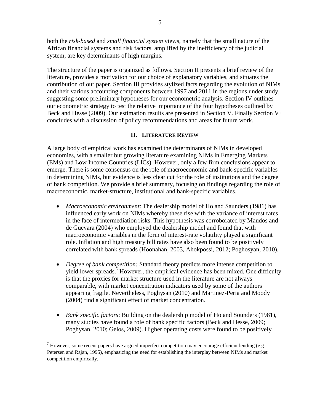both the *risk-based* and *small financial system* views, namely that the small nature of the African financial systems and risk factors, amplified by the inefficiency of the judicial system, are key determinants of high margins.

The structure of the paper is organized as follows. Section II presents a brief review of the literature, provides a motivation for our choice of explanatory variables, and situates the contribution of our paper. Section III provides stylized facts regarding the evolution of NIMs and their various accounting components between 1997 and 2011 in the regions under study, suggesting some preliminary hypotheses for our econometric analysis. Section IV outlines our econometric strategy to test the relative importance of the four hypotheses outlined by Beck and Hesse (2009). Our estimation results are presented in Section V. Finally Section VI concludes with a discussion of policy recommendations and areas for future work.

# **II. LITERATURE REVIEW**

A large body of empirical work has examined the determinants of NIMs in developed economies, with a smaller but growing literature examining NIMs in Emerging Markets (EMs) and Low Income Countries (LICs). However, only a few firm conclusions appear to emerge. There is some consensus on the role of macroeconomic and bank-specific variables in determining NIMs, but evidence is less clear cut for the role of institutions and the degree of bank competition. We provide a brief summary, focusing on findings regarding the role of macroeconomic, market-structure, institutional and bank-specific variables.

- *Macroeconomic environment*: The dealership model of Ho and Saunders (1981) has influenced early work on NIMs whereby these rise with the variance of interest rates in the face of intermediation risks. This hypothesis was corroborated by Maudos and de Guevara (2004) who employed the dealership model and found that with macroeconomic variables in the form of interest-rate volatility played a significant role. Inflation and high treasury bill rates have also been found to be positively correlated with bank spreads (Hoonahan, 2003, Ahokpossi, 2012; Poghosyan, 2010).
- *Degree of bank competition:* Standard theory predicts more intense competition to yield lower spreads.<sup>7</sup> However, the empirical evidence has been mixed. One difficulty is that the proxies for market structure used in the literature are not always comparable, with market concentration indicators used by some of the authors appearing fragile. Nevertheless, Poghysan (2010) and Martinez-Peria and Moody (2004) find a significant effect of market concentration.
- *Bank specific factors*: Building on the dealership model of Ho and Sounders (1981), many studies have found a role of bank specific factors (Beck and Hesse, 2009; Poghysan, 2010; Gelos, 2009). Higher operating costs were found to be positively

 $^7$  However, some recent papers have argued imperfect competition may encourage efficient lending (e.g. Petersen and Rajan, 1995), emphasizing the need for establishing the interplay between NIMs and market competition empirically.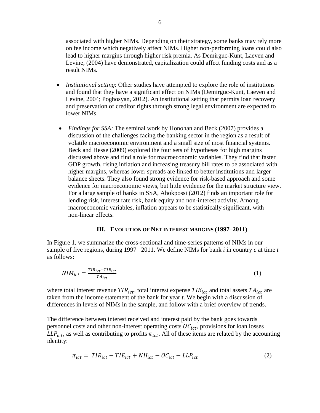associated with higher NIMs. Depending on their strategy, some banks may rely more on fee income which negatively affect NIMs. Higher non-performing loans could also lead to higher margins through higher risk premia. As Demirguc-Kunt, Laeven and Levine, (2004) have demonstrated, capitalization could affect funding costs and as a result NIMs.

- *Institutional setting*: Other studies have attempted to explore the role of institutions and found that they have a significant effect on NIMs (Demirguc-Kunt, Laeven and Levine, 2004; Poghosyan, 2012). An institutional setting that permits loan recovery and preservation of creditor rights through strong legal environment are expected to lower NIMs.
- *Findings for SSA:* The seminal work by Honohan and Beck (2007) provides a discussion of the challenges facing the banking sector in the region as a result of volatile macroeconomic environment and a small size of most financial systems. Beck and Hesse (2009) explored the four sets of hypotheses for high margins discussed above and find a role for macroeconomic variables. They find that faster GDP growth, rising inflation and increasing treasury bill rates to be associated with higher margins, whereas lower spreads are linked to better institutions and larger balance sheets. They also found strong evidence for risk-based approach and some evidence for macroeconomic views, but little evidence for the market structure view. For a large sample of banks in SSA, Ahokpossi (2012) finds an important role for lending risk, interest rate risk, bank equity and non-interest activity. Among macroeconomic variables, inflation appears to be statistically significant, with non-linear effects.

#### **III. EVOLUTION OF NET INTEREST MARGINS (1997–2011)**

In Figure 1, we summarize the cross-sectional and time-series patterns of NIMs in our sample of five regions, during 1997– 2011. We define NIMs for bank *i* in country *c* at time *t* as follows:

$$
NIM_{ict} = \frac{TIR_{ict} - TIE_{ict}}{TA_{ict}}\tag{1}
$$

where total interest revenue  $TIR_{ict}$ , total interest expense  $TIE_{ict}$  and total assets  $TA_{ict}$  are taken from the income statement of the bank for year *t*. We begin with a discussion of differences in levels of NIMs in the sample, and follow with a brief overview of trends.

The difference between interest received and interest paid by the bank goes towards personnel costs and other non-interest operating costs  $\mathcal{OC}_{ict}$ , provisions for loan losses  $LLP_{ict}$ , as well as contributing to profits  $\pi_{ict}$ . All of these items are related by the accounting identity:

$$
\pi_{ict} = TIR_{ict} - TIE_{ict} + NII_{ict} - OC_{ict} - LLP_{ict}
$$
\n
$$
(2)
$$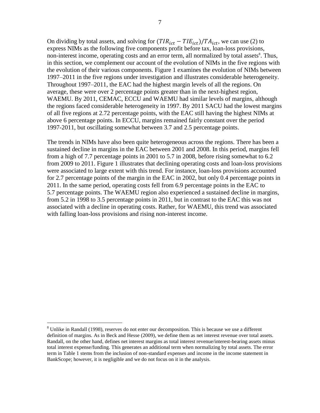On dividing by total assets, and solving for  $(TIR_{ict} - TIE_{ict})/TA_{ict}$ , we can use (2) to express NIMs as the following five components profit before tax, loan-loss provisions, non-interest income, operating costs and an error term, all normalized by total assets<sup>8</sup>. Thus, in this section, we complement our account of the evolution of NIMs in the five regions with the evolution of their various components. Figure 1 examines the evolution of NIMs between 1997–2011 in the five regions under investigation and illustrates considerable heterogeneity. Throughout 1997–2011, the EAC had the highest margin levels of all the regions. On average, these were over 2 percentage points greater than in the next-highest region, WAEMU. By 2011, CEMAC, ECCU and WAEMU had similar levels of margins, although the regions faced considerable heterogeneity in 1997. By 2011 SACU had the lowest margins of all five regions at 2.72 percentage points, with the EAC still having the highest NIMs at above 6 percentage points. In ECCU, margins remained fairly constant over the period 1997-2011, but oscillating somewhat between 3.7 and 2.5 percentage points.

The trends in NIMs have also been quite heterogeneous across the regions. There has been a sustained decline in margins in the EAC between 2001 and 2008. In this period, margins fell from a high of 7.7 percentage points in 2001 to 5.7 in 2008, before rising somewhat to 6.2 from 2009 to 2011. Figure 1 illustrates that declining operating costs and loan-loss provisions were associated to large extent with this trend. For instance, loan-loss provisions accounted for 2.7 percentage points of the margin in the EAC in 2002, but only 0.4 percentage points in 2011. In the same period, operating costs fell from 6.9 percentage points in the EAC to 5.7 percentage points. The WAEMU region also experienced a sustained decline in margins, from 5.2 in 1998 to 3.5 percentage points in 2011, but in contrast to the EAC this was not associated with a decline in operating costs. Rather, for WAEMU, this trend was associated with falling loan-loss provisions and rising non-interest income.

<sup>&</sup>lt;sup>8</sup> Unlike in Randall (1998), reserves do not enter our decomposition. This is because we use a different definition of margins. As in Beck and Hesse (2009), we define them as net interest revenue over total assets. Randall, on the other hand, defines net interest margins as total interest revenue/interest-bearing assets minus total interest expense/funding. This generates an additional term when normalizing by total assets. The error term in Table 1 stems from the inclusion of non-standard expenses and income in the income statement in BankScope; however, it is negligible and we do not focus on it in the analysis.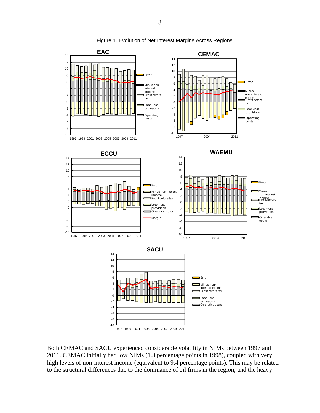

Figure 1. Evolution of Net Interest Margins Across Regions

Both CEMAC and SACU experienced considerable volatility in NIMs between 1997 and 2011. CEMAC initially had low NIMs (1.3 percentage points in 1998), coupled with very high levels of non-interest income (equivalent to 9.4 percentage points). This may be related to the structural differences due to the dominance of oil firms in the region, and the heavy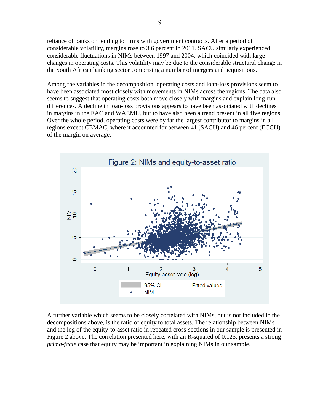reliance of banks on lending to firms with government contracts. After a period of considerable volatility, margins rose to 3.6 percent in 2011. SACU similarly experienced considerable fluctuations in NIMs between 1997 and 2004, which coincided with large changes in operating costs. This volatility may be due to the considerable structural change in the South African banking sector comprising a number of mergers and acquisitions.

Among the variables in the decomposition, operating costs and loan-loss provisions seem to have been associated most closely with movements in NIMs across the regions. The data also seems to suggest that operating costs both move closely with margins and explain long-run differences**.** A decline in loan-loss provisions appears to have been associated with declines in margins in the EAC and WAEMU, but to have also been a trend present in all five regions. Over the whole period, operating costs were by far the largest contributor to margins in all regions except CEMAC, where it accounted for between 41 (SACU) and 46 percent (ECCU) of the margin on average.



A further variable which seems to be closely correlated with NIMs, but is not included in the decompositions above, is the ratio of equity to total assets. The relationship between NIMs and the log of the equity-to-asset ratio in repeated cross-sections in our sample is presented in Figure 2 above. The correlation presented here, with an R-squared of 0.125, presents a strong *prima-facie* case that equity may be important in explaining NIMs in our sample.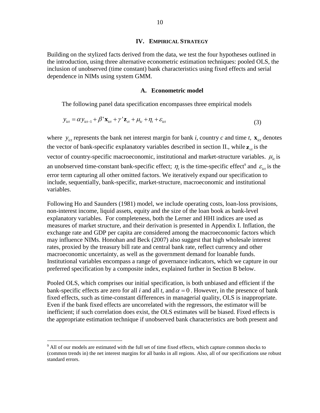#### **IV. EMPIRICAL STRATEGY**

Building on the stylized facts derived from the data, we test the four hypotheses outlined in the introduction, using three alternative econometric estimation techniques: pooled OLS, the inclusion of unobserved (time constant) bank characteristics using fixed effects and serial dependence in NIMs using system GMM.

#### **A. Econometric model**

The following panel data specification encompasses three empirical models

$$
y_{ict} = \alpha y_{ict-1} + \beta' \mathbf{x}_{ict} + \gamma' \mathbf{z}_{ct} + \mu_{ic} + \eta_t + \varepsilon_{ict}
$$
\n(3)

where  $y_{ict}$  represents the bank net interest margin for bank *i*, country *c* and time *t*,  $\mathbf{x}_{ict}$  denotes the vector of bank-specific explanatory variables described in section II., while  $z_{ct}$  is the vector of country-specific macroeconomic, institutional and market-structure variables.  $\mu_{ic}$  is an unobserved time-constant bank-specific effect;  $\eta_t$  is the time-specific effect<sup>9</sup> and  $\varepsilon_{\text{ict}}$  is the error term capturing all other omitted factors. We iteratively expand our specification to include, sequentially, bank-specific, market-structure, macroeconomic and institutional variables.

Following Ho and Saunders (1981) model, we include operating costs, loan-loss provisions, non-interest income, liquid assets, equity and the size of the loan book as bank-level explanatory variables.For completeness, both the Lerner and HHI indices are used as measures of market structure, and their derivation is presented in Appendix I. Inflation, the exchange rate and GDP per capita are considered among the macroeconomic factors which may influence NIMs. Honohan and Beck (2007) also suggest that high wholesale interest rates, proxied by the treasury bill rate and central bank rate, reflect currency and other macroeconomic uncertainty, as well as the government demand for loanable funds. Institutional variables encompass a range of governance indicators, which we capture in our preferred specification by a composite index, explained further in Section B below.

Pooled OLS, which comprises our initial specification, is both unbiased and efficient if the bank-specific effects are zero for all *i* and all *t*, and  $\alpha = 0$ . However, in the presence of bank fixed effects, such as time-constant differences in managerial quality, OLS is inappropriate. Even if the bank fixed effects are uncorrelated with the regressors, the estimator will be inefficient; if such correlation does exist, the OLS estimates will be biased. Fixed effects is the appropriate estimation technique if unobserved bank characteristics are both present and

<sup>&</sup>lt;sup>9</sup> All of our models are estimated with the full set of time fixed effects, which capture common shocks to (common trends in) the net interest margins for all banks in all regions. Also, all of our specifications use robust standard errors.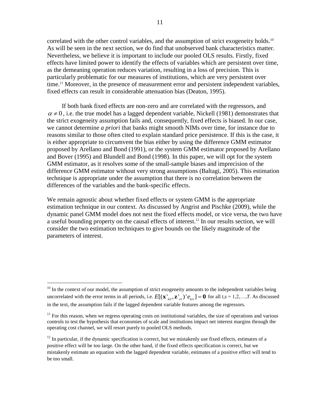correlated with the other control variables, and the assumption of strict exogeneity holds.<sup>10</sup> As will be seen in the next section, we do find that unobserved bank characteristics matter. Nevertheless, we believe it is important to include our pooled OLS results. Firstly, fixed effects have limited power to identify the effects of variables which are persistent over time, as the demeaning operation reduces variation, resulting in a loss of precision. This is particularly problematic for our measures of institutions, which are very persistent over time.<sup>11</sup> Moreover, in the presence of measurement error and persistent independent variables, fixed effects can result in considerable attenuation bias (Deaton, 1995).

If both bank fixed effects are non-zero and are correlated with the regressors, and  $\alpha \neq 0$ , i.e. the true model has a lagged dependent variable, Nickell (1981) demonstrates that the strict exogeneity assumption fails and, consequently, fixed effects is biased. In our case, we cannot determine *a priori* that banks might smooth NIMs over time, for instance due to reasons similar to those often cited to explain standard price persistence. If this is the case, it is either appropriate to circumvent the bias either by using the difference GMM estimator proposed by Arellano and Bond (1991), or the system GMM estimator proposed by Arellano and Bover (1995) and Blundell and Bond (1998). In this paper, we will opt for the system GMM estimator, as it resolves some of the small-sample biases and imprecision of the difference GMM estimator without very strong assumptions (Baltagi, 2005). This estimation technique is appropriate under the assumption that there is no correlation between the differences of the variables and the bank-specific effects.

We remain agnostic about whether fixed effects or system GMM is the appropriate estimation technique in our context. As discussed by Angrist and Pischke (2009), while the dynamic panel GMM model does not nest the fixed effects model, or vice versa, the two have a useful bounding property on the causal effects of interest. <sup>12</sup> In our results section, we will consider the two estimation techniques to give bounds on the likely magnitude of the parameters of interest.

 $10$  In the context of our model, the assumption of strict exogeneity amounts to the independent variables being uncorrelated with the error terms in all periods, i.e.  $E[(\mathbf{x}_{ict}^{\prime}, \mathbf{z}_{ct}^{\prime})^{\prime} e_{ics}] = \mathbf{0}$  for all  $t, s = 1, 2, ..., T$ . As discussed in the text, the assumption fails if the lagged dependent variable features among the regressors.

 $11$  For this reason, when we regress operating costs on institutional variables, the size of operations and various controls to test the hypothesis that economies of scale and institutions impact net interest margins through the operating cost channel, we will resort purely to pooled OLS methods.

 $12$  In particular, if the dynamic specification is correct, but we mistakenly use fixed effects, estimates of a positive effect will be too large. On the other hand, if the fixed effects specification is correct, but we mistakenly estimate an equation with the lagged dependent variable, estimates of a positive effect will tend to be too small.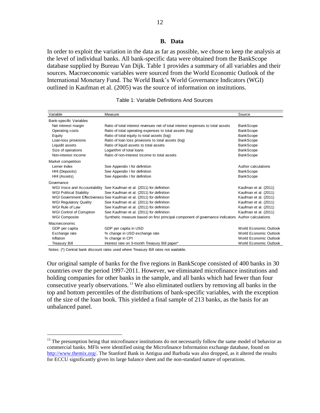In order to exploit the variation in the data as far as possible, we chose to keep the analysis at the level of individual banks. All bank-specific data were obtained from the BankScope database supplied by Bureau Van Dijk. Table 1 provides a summary of all variables and their sources. Macroeconomic variables were sourced from the World Economic Outlook of the International Monetary Fund. The World Bank's World Governance Indicators (WGI) outlined in Kaufman et al. (2005) was the source of information on institutions.

| Variable                         | Measure                                                                         | Source                 |
|----------------------------------|---------------------------------------------------------------------------------|------------------------|
| <b>Bank-specific Variables</b>   |                                                                                 |                        |
| Net interest margin              | Ratio of total interest revenues net of total interest expenses to total assets | <b>BankScope</b>       |
| Operating costs                  | Ratio of total operating expenses to total assets (log)                         | <b>BankScope</b>       |
| Equity                           | Ratio of total equity to total assets (log)                                     | <b>BankScope</b>       |
| Loan-loss provisions             | Ratio of loan loss provisions to total assets (log)                             | <b>BankScope</b>       |
| Liquidit assets                  | Ratio of liquid assets to total assets                                          | <b>BankScope</b>       |
| Size of operations               | Logarithm of total loans                                                        | <b>BankScope</b>       |
| Non-interest income              | Ratio of non-interest income to total assets                                    | <b>BankScope</b>       |
| Market competition               |                                                                                 |                        |
| Lerner Index                     | See Appendix I for definition                                                   | Author calculations    |
| HHI (Deposits)                   | See Appendix I for definition                                                   | <b>BankScope</b>       |
| HHI (Assets)                     | See Appendix I for definition                                                   | <b>BankScope</b>       |
| Governance                       |                                                                                 |                        |
|                                  | WGI Voice and Accountability See Kaufman et al. (2011) for definition           | Kaufman et al. (2011)  |
| <b>WGI Political Stability</b>   | See Kaufman et al. (2011) for definition                                        | Kaufman et al. (2011)  |
|                                  | WGI Government Effectiveness See Kaufman et al. (2011) for definition           | Kaufman et al. (2011)  |
| <b>WGI Regulatory Quality</b>    | See Kaufman et al. (2011) for definition                                        | Kaufman et al. (2011)  |
| WGI Rule of Law                  | See Kaufman et al. (2011) for definition                                        | Kaufman et al. (2011)  |
| <b>WGI Control of Corruption</b> | See Kaufman et al. (2011) for definition                                        | Kaufman et al. (2011)  |
| <b>WGI Composite</b>             | Synthetic measure based on first principal component of governance indicators   | Author calculations    |
| Macroeconomic                    |                                                                                 |                        |
| GDP per capita                   | GDP per capita in USD                                                           | World Economic Outlook |
| Exchange rate                    | % change in USD exchange rate                                                   | World Economic Outlook |
| Inflation                        | % change in CPI                                                                 | World Economic Outlook |
| <b>Treasury Bill</b>             | Interest rate on 3-month Treasury Bill paper*                                   | World Economic Outlook |

#### Table 1: Variable Definitions And Sources

Notes: (\*) Central bank discount rates used where Treasury Bill rates not available.

 $\overline{a}$ 

Our original sample of banks for the five regions in BankScope consisted of 400 banks in 30 countries over the period 1997-2011. However, we eliminated microfinance institutions and holding companies for other banks in the sample, and all banks which had fewer than four consecutive yearly observations. <sup>13</sup> We also eliminated outliers by removing all banks in the top and bottom percentiles of the distributions of bank-specific variables, with the exception of the size of the loan book. This yielded a final sample of 213 banks, as the basis for an unbalanced panel.

 $<sup>13</sup>$  The presumption being that microfinance institutions do not necessarily follow the same model of behavior as</sup> commercial banks. MFIs were identified using the Microfinance Information exchange database, found on [http://www.themix.org/.](http://www.themix.org/) The Stanford Bank in Antigua and Barbuda was also dropped, as it altered the results for ECCU significantly given its large balance sheet and the non-standard nature of operations.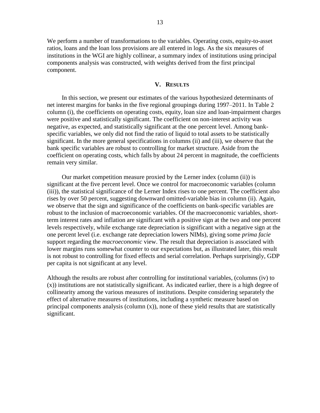We perform a number of transformations to the variables. Operating costs, equity-to-asset ratios, loans and the loan loss provisions are all entered in logs. As the six measures of institutions in the WGI are highly collinear, a summary index of institutions using principal components analysis was constructed, with weights derived from the first principal component.

#### **V. RESULTS**

In this section, we present our estimates of the various hypothesized determinants of net interest margins for banks in the five regional groupings during 1997–2011. In Table 2 column (i), the coefficients on operating costs, equity, loan size and loan-impairment charges were positive and statistically significant. The coefficient on non-interest activity was negative, as expected, and statistically significant at the one percent level. Among bankspecific variables, we only did not find the ratio of liquid to total assets to be statistically significant. In the more general specifications in columns (ii) and (iii), we observe that the bank specific variables are robust to controlling for market structure. Aside from the coefficient on operating costs, which falls by about 24 percent in magnitude, the coefficients remain very similar.

Our market competition measure proxied by the Lerner index (column (ii)) is significant at the five percent level. Once we control for macroeconomic variables (column (iii)), the statistical significance of the Lerner Index rises to one percent. The coefficient also rises by over 50 percent, suggesting downward omitted-variable bias in column (ii). Again, we observe that the sign and significance of the coefficients on bank-specific variables are robust to the inclusion of macroeconomic variables. Of the macroeconomic variables, shortterm interest rates and inflation are significant with a positive sign at the two and one percent levels respectively, while exchange rate depreciation is significant with a negative sign at the one percent level (i.e. exchange rate depreciation lowers NIMs), giving some *prima facie*  support regarding the *macroeconomic* view. The result that depreciation is associated with lower margins runs somewhat counter to our expectations but, as illustrated later, this result is not robust to controlling for fixed effects and serial correlation. Perhaps surprisingly, GDP per capita is not significant at any level.

Although the results are robust after controlling for institutional variables, (columns (iv) to (x)) institutions are not statistically significant. As indicated earlier, there is a high degree of collinearity among the various measures of institutions. Despite considering separately the effect of alternative measures of institutions, including a synthetic measure based on principal components analysis (column  $(x)$ ), none of these yield results that are statistically significant.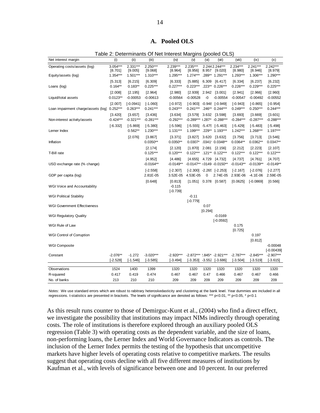| Table 2: Determinants Of Net Interest Margins (pooled OLS) |                                     |                                   |                                     |                                     |                                     |                 |                                                            |                                     |                                   |                                   |
|------------------------------------------------------------|-------------------------------------|-----------------------------------|-------------------------------------|-------------------------------------|-------------------------------------|-----------------|------------------------------------------------------------|-------------------------------------|-----------------------------------|-----------------------------------|
| Net interest margin                                        | (i)                                 | (ii)                              | (iii)                               | (iv)                                | (v)                                 | (v)             | (vii)                                                      | (viii)                              | (ix)                              | (x)                               |
| Operating costs/assets (log)<br>Equity/assets (log)        | $3.054***$<br>[8.701]<br>$1.354***$ | $2.331***$<br>[9.005]<br>1.501*** | $2.250***$<br>[9.068]<br>$1.310***$ | $2.239***$<br>[8.964]<br>$1.295***$ | $2.235***$<br>[8.956]<br>$1.274***$ |                 | 2.2442.244***<br>[8.957 [9.020]<br>.289** 1.291***         | $2.234***$<br>[8.980]<br>$1.293***$ | $2.241***$<br>[8.946]<br>1.306*** | $2.242***$<br>[8.979]<br>1.290*** |
| Loans (log)                                                | [5.313]<br>$0.164**$                | [6.215]<br>$0.183**$              | [6.309]<br>$0.225***$               | [6.333]<br>$0.227***$               | [5.885]<br>$0.223***$               | 6.309           | [6.417]<br>.223** 0.226***                                 | [6.334]<br>$0.226***$               | [6.237]<br>$0.229***$             | [6.232]<br>$0.225***$             |
| Liquid/total assets                                        | [2.008]<br>$0.0123**$               | [2.195]<br>$-0.00053$             | [2.964]<br>$-0.00613$               | [2.980]<br>$-0.00564$               | [2.939]<br>$-0.00528$               | -0              | 2.942 [3.001]<br>$-0.00554$                                | [2.941]<br>$-0.00547$               | [2.966]<br>$-0.00492$             | [2.960]<br>$-0.00552$             |
| Loan impairment charge/assets (log)                        | [2.007]<br>$0.252***$               | $[-0.0941]$<br>$0.263***$         | $[-1.060]$<br>$0.241***$            | $[-0.972]$<br>$0.243***$            |                                     |                 | $[-0.903] -0.948$ $[-0.949]$<br>0.241*** .246** 0.244***   | $[-0.943]$<br>$0.249***$            | $[-0.865]$<br>$0.250***$          | $[-0.954]$<br>$0.244***$          |
| Non-interest activity/assets                               | [3.420]<br>$-0.424***$              | [3.657]<br>$-0.321***$            | [3.436]<br>$-0.281***$              | [3.634]<br>$-0.292***$              |                                     |                 | $[3.579]$ 3.632 $[3.598]$<br>-0.289*** ).287* -0.288***    | [3.693]<br>$-0.284***$              | [3.669]<br>$-0.287***$            | [3.601]<br>$-0.288***$            |
| Lerner Index                                               | $[-6.332]$                          | $[-5.869]$<br>$0.562**$           | $[-5.380]$<br>$1.230***$            | $[-5.596]$<br>$1.131***$            |                                     |                 | $[-5.555] -5.475$ $[-5.463]$<br>1.199*** .229** 1.193***   | $[-5.429]$<br>1.242***              | $[-5.483]$<br>$1.268***$          | $[-5.498]$<br>$1.197***$          |
| Inflation                                                  |                                     | [2.076]                           | [3.867]<br>$0.0350**$               | [3.371]<br>$0.0350**$               | [3.827]                             | 3.620           | [3.632]<br>0.0307* .0341' 0.0348**                         | [3.756]<br>$0.0364**$               | [3.713]<br>$0.0362**$             | [3.546]<br>$0.0347**$             |
| T-Bill rate                                                |                                     |                                   | [2.174]<br>$0.125***$               | [2.120]<br>$0.120***$               | $0.122***$                          |                 | $[1.870]$ 2.081 $[2.156]$<br>.121** 0.122***               | [2.212]<br>$0.122***$               | [2.223]<br>$0.122***$             | [2.107]<br>$0.122***$             |
| USD exchange rate (% change)                               |                                     |                                   | [4.952]<br>$-0.0164**$              | [4.486]<br>$-0.0149**$              |                                     |                 | $[4.655]$ 4.729 $[4.732]$<br>-0.0147** $1.0149 - 0.0150**$ | [4.737]<br>$-0.0143**$              | [4.761]<br>$-0.0139**$            | [4.707]<br>$-0.0149**$            |
| GDP per capita (log)                                       |                                     |                                   | $[-2.558]$<br>2.81E-05              | $[-2.307]$<br>3.52E-05              | 4.53E-05                            | 0               | $[-2.300]$ -2.265 $[-2.253]$<br>2.74E-05                   | $[-2.167]$<br>2.93E-06              | $[-2.076]$<br>$-4.1E - 06$        | $[-2.277]$<br>2.59E-05            |
| <b>WGI Voice and Accountability</b>                        |                                     |                                   | [0.648]                             | [0.813]<br>$-0.115$<br>$[-0.739]$   |                                     |                 | $[1.051]$ 0.378 $[0.587]$                                  | [0.0625]                            | $[-0.0869]$                       | [0.566]                           |
| <b>WGI Political Stability</b>                             |                                     |                                   |                                     |                                     | $-0.11$<br>$[-0.779]$               |                 |                                                            |                                     |                                   |                                   |
| <b>WGI Government Effectiveness</b>                        |                                     |                                   |                                     |                                     |                                     | 0.07<br>[0.294] |                                                            |                                     |                                   |                                   |
| <b>WGI Regulatory Quality</b>                              |                                     |                                   |                                     |                                     |                                     |                 | $-0.0169$<br>$[-0.0592]$                                   |                                     |                                   |                                   |
| WGI Rule of Law                                            |                                     |                                   |                                     |                                     |                                     |                 |                                                            | 0.175<br>[0.725]                    |                                   |                                   |
| WGI Control of Corruption                                  |                                     |                                   |                                     |                                     |                                     |                 |                                                            |                                     | 0.197<br>[0.812]                  |                                   |
| <b>WGI Composite</b>                                       |                                     |                                   |                                     |                                     |                                     |                 |                                                            |                                     |                                   | $-0.00048$<br>$[-0.00439]$        |
| Constant                                                   | $-2.076**$<br>$[-2.528]$            | $-1.272$<br>$[-1.546]$            | $-3.020***$<br>$[-3.585]$           | $-2.920***$<br>$[-3.494]$           | $[-3.353]$                          |                 | -2.872*** $\cdot$ .845* -2.921***<br>$-3.552$ $[-3.686]$   | $-2.787***$<br>$[-3.504]$           | $-2.845***$<br>$[-3.519]$         | $-2.907***$<br>$[-3.615]$         |
| Observations                                               | 1524                                | 1400                              | 1399                                | 1320                                | 1320                                | 1320            | 1320                                                       | 1320                                | 1320                              | 1320                              |
| R-squared                                                  | 0.417                               | 0.419                             | 0.474                               | 0.467                               | 0.467                               | 0.47            | 0.466                                                      | 0.467                               | 0.467                             | 0.466                             |
| No. of banks                                               | 213                                 | 210                               | 210                                 | 209                                 | 209                                 | 209             | 209                                                        | 209                                 | 209                               | 209                               |

*Notes:* We use standard errors which are robust to rabitrary heteroskedasticity and clustering at the bank level. Year dummies are included in all regressions. t-statistics are presented in brackets. The levels of significance are denoted as follows: \*\*\* p<0.01, \*\* p<0.05, \* p<0.1

As this result runs counter to those of Demirguc-Kunt et al., (2004) who find a direct effect, we investigate the possibility that institutions may impact NIMs indirectly through operating costs. The role of institutions is therefore explored through an auxiliary pooled OLS regression (Table 3) with operating costs as the dependent variable, and the size of loans, non-performing loans, the Lerner Index and World Governance Indicators as controls. The inclusion of the Lerner Index permits the testing of the hypothesis that uncompetitive markets have higher levels of operating costs relative to competitive markets. The results suggest that operating costs decline with all five different measures of institutions by Kaufman et al., with levels of significance between one and 10 percent. In our preferred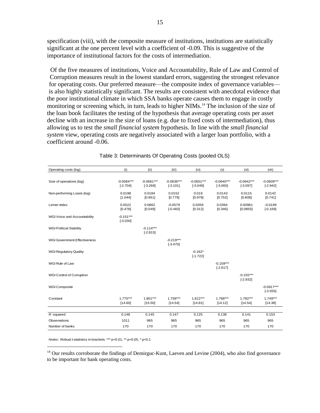specification (viii), with the composite measure of institutions, institutions are statistically significant at the one percent level with a coefficient of -0.09. This is suggestive of the importance of institutional factors for the costs of intermediation.

Of the five measures of institutions, Voice and Accountability, Rule of Law and Control of Corruption measures result in the lowest standard errors, suggesting the strongest relevance for operating costs. Our preferred measure—the composite index of governance variables is also highly statistically significant. The results are consistent with anecdotal evidence that the poor institutional climate in which SSA banks operate causes them to engage in costly monitoring or screening which, in turn, leads to higher NIMs. <sup>14</sup> The inclusion of the size of the loan book facilitates the testing of the hypothesis that average operating costs per asset decline with an increase in the size of loans (e.g. due to fixed costs of intermediation), thus allowing us to test the *small financial system* hypothesis. In line with the *small financial system* view, operating costs are negatively associated with a larger loan portfolio, with a coefficient around -0.06.

| Operating costs (log)               | (i)                        | (ii)                       | (iii)                      | (iv)                       | (v)                        | (v <sub>i</sub> )          | (vii)                      |
|-------------------------------------|----------------------------|----------------------------|----------------------------|----------------------------|----------------------------|----------------------------|----------------------------|
| Size of operations (log)            | $-0.0584***$<br>$[-2.704]$ | $-0.0661***$<br>$[-3.269]$ | $-0.0636***$<br>$[-3.101]$ | $-0.0651***$<br>$[-3.049]$ | $-0.0640***$<br>$[-3.065]$ | $-0.0642***$<br>$[-3.097]$ | $-0.0609***$<br>$[-2.942]$ |
| Non-performing Loans (log)          | 0.0198<br>[1.044]          | 0.0184<br>[0.951]          | 0.0152<br>[0.779]          | 0.019<br>[0.978]           | 0.0143<br>[0.752]          | 0.0115<br>[0.608]          | 0.0142<br>[0.741]          |
| Lerner Index                        | 0.0522<br>[0.478]          | 0.0662<br>[0.549]          | $-0.0579$<br>$[-0.483]$    | 0.0359<br>[0.312]          | 0.0394<br>[0.346]          | 0.00961<br>[0.0855]        | $-0.0199$<br>$[-0.169]$    |
| WGI Voice and Accountability        | $-0.151***$<br>$[-3.030]$  |                            |                            |                            |                            |                            |                            |
| <b>WGI Political Stability</b>      |                            | $-0.114***$<br>$[-2.815]$  |                            |                            |                            |                            |                            |
| <b>WGI Government Effectiveness</b> |                            |                            | $-0.219***$<br>$[-3.470]$  |                            |                            |                            |                            |
| <b>WGI Regulatory Quality</b>       |                            |                            |                            | $-0.162*$<br>$[-1.722]$    |                            |                            |                            |
| WGI Rule of Law                     |                            |                            |                            |                            | $-0.159***$<br>$[-2.617]$  |                            |                            |
| WGI Control of Corruption           |                            |                            |                            |                            |                            | $-0.155***$<br>$[-2.932]$  |                            |
| WGI Composite                       |                            |                            |                            |                            |                            |                            | $-0.0917***$<br>$[-3.555]$ |
| Constant                            | $1.775***$<br>[14.60]      | $1.801***$<br>[15.50]      | $1.759***$<br>[14.54]      | $1.812***$<br>[14.81]      | 1.768***<br>[14.12]        | $1.782***$<br>[14.54]      | $1.749***$<br>[14.38]      |
|                                     |                            |                            |                            |                            |                            |                            |                            |
| $R$ -squared                        | 0.148                      | 0.145                      | 0.147                      | 0.125                      | 0.138                      | 0.141                      | 0.153                      |
| Observations                        | 1011                       | 965                        | 965                        | 965                        | 965                        | 965                        | 965                        |
| Number of banks                     | 170                        | 170                        | 170                        | 170                        | 170                        | 170                        | 170                        |

*Notes:* Robust t-statistics in brackets. \*\*\* p<0.01, \*\* p<0.05, \* p<0.1

 $\overline{a}$ 

<sup>14</sup> Our results corroborate the findings of Demirguc-Kunt, Laeven and Levine (2004), who also find governance to be important for bank operating costs.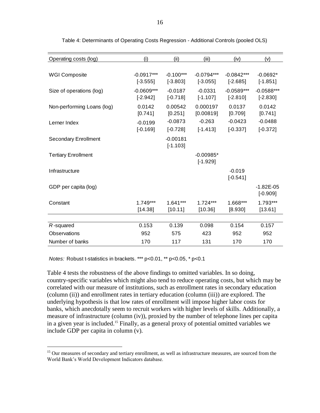| Operating costs (log)       | (i)                        | (ii)                      | (iii)                      | (iv)                       | (v)                         |
|-----------------------------|----------------------------|---------------------------|----------------------------|----------------------------|-----------------------------|
|                             |                            |                           |                            |                            |                             |
| <b>WGI Composite</b>        | $-0.0917***$<br>$[-3.555]$ | $-0.100***$<br>$[-3.803]$ | $-0.0794***$<br>$[-3.055]$ | $-0.0842***$<br>$[-2.685]$ | $-0.0692*$<br>$[-1.851]$    |
| Size of operations (log)    | $-0.0609***$<br>$[-2.942]$ | $-0.0187$<br>$[-0.718]$   | $-0.0331$<br>$[-1.107]$    | $-0.0589***$<br>$[-2.810]$ | $-0.0588***$<br>$[-2.830]$  |
| Non-performing Loans (log)  | 0.0142<br>[0.741]          | 0.00542<br>[0.251]        | 0.000197<br>[0.00819]      | 0.0137<br>[0.709]          | 0.0142<br>[0.741]           |
| Lerner Index                | $-0.0199$<br>$[-0.169]$    | $-0.0873$<br>$[-0.728]$   | $-0.263$<br>$[-1.413]$     | $-0.0423$<br>$[-0.337]$    | $-0.0488$<br>$[-0.372]$     |
| <b>Secondary Enrollment</b> |                            | $-0.00181$<br>$[-1.103]$  |                            |                            |                             |
| <b>Tertiary Enrollment</b>  |                            |                           | $-0.00985*$<br>$[-1.929]$  |                            |                             |
| Infrastructure              |                            |                           |                            | $-0.019$<br>$[-0.541]$     |                             |
| GDP per capita (log)        |                            |                           |                            |                            | $-1.82E - 05$<br>$[-0.909]$ |
| Constant                    | $1.749***$<br>[14.38]      | $1.641***$<br>[10.11]     | $1.724***$<br>[10.36]      | 1.668***<br>[8.930]        | 1.793***<br>[13.61]         |
| $R$ -squared                | 0.153                      | 0.139                     | 0.098                      | 0.154                      | 0.157                       |
| Observations                | 952                        | 575                       | 423                        | 952                        | 952                         |
|                             |                            |                           | 131                        |                            |                             |
| Number of banks             | 170                        | 117                       |                            | 170                        | 170                         |

Table 4: Determinants of Operating Costs Regression - Additional Controls (pooled OLS)

*Notes:* Robust t-statistics in brackets. \*\*\* p<0.01, \*\* p<0.05, \* p<0.1

 $\overline{a}$ 

Table 4 tests the robustness of the above findings to omitted variables. In so doing, country-specific variables which might also tend to reduce operating costs, but which may be correlated with our measure of institutions, such as enrollment rates in secondary education (column (ii)) and enrollment rates in tertiary education (column (iii)) are explored. The underlying hypothesis is that low rates of enrollment will impose higher labor costs for banks, which anecdotally seem to recruit workers with higher levels of skills. Additionally, a measure of infrastructure (column (iv)), proxied by the number of telephone lines per capita in a given year is included. <sup>15</sup> Finally, as a general proxy of potential omitted variables we include GDP per capita in column (v).

<sup>&</sup>lt;sup>15</sup> Our measures of secondary and tertiary enrollment, as well as infrastructure measures, are sourced from the World Bank's World Development Indicators database.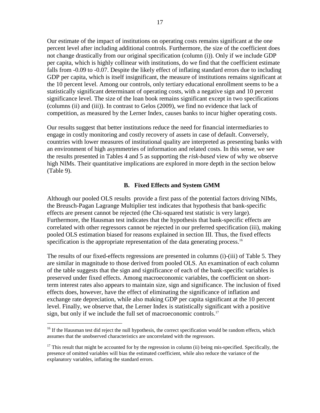Our estimate of the impact of institutions on operating costs remains significant at the one percent level after including additional controls. Furthermore, the size of the coefficient does not change drastically from our original specification (column (i)). Only if we include GDP per capita, which is highly collinear with institutions, do we find that the coefficient estimate falls from -0.09 to -0.07. Despite the likely effect of inflating standard errors due to including GDP per capita, which is itself insignificant, the measure of institutions remains significant at the 10 percent level. Among our controls, only tertiary educational enrollment seems to be a statistically significant determinant of operating costs, with a negative sign and 10 percent significance level. The size of the loan book remains significant except in two specifications (columns (ii) and (iii)). In contrast to Gelos (2009), we find no evidence that lack of competition, as measured by the Lerner Index, causes banks to incur higher operating costs.

Our results suggest that better institutions reduce the need for financial intermediaries to engage in costly monitoring and costly recovery of assets in case of default. Conversely, countries with lower measures of institutional quality are interpreted as presenting banks with an environment of high asymmetries of information and related costs. In this sense, we see the results presented in Tables 4 and 5 as supporting the *risk-based* view of why we observe high NIMs. Their quantitative implications are explored in more depth in the section below (Table 9).

## **B. Fixed Effects and System GMM**

Although our pooled OLS results provide a first pass of the potential factors driving NIMs, the Breusch-Pagan Lagrange Multiplier test indicates that hypothesis that bank-specific effects are present cannot be rejected (the Chi-squared test statistic is very large). Furthermore, the Hausman test indicates that the hypothesis that bank-specific effects are correlated with other regressors cannot be rejected in our preferred specification (iii), making pooled OLS estimation biased for reasons explained in section III. Thus, the fixed effects specification is the appropriate representation of the data generating process.<sup>16</sup>

The results of our fixed-effects regressions are presented in columns (i)-(iii) of Table 5. They are similar in magnitude to those derived from pooled OLS. An examination of each column of the table suggests that the sign and significance of each of the bank-specific variables is preserved under fixed effects. Among macroeconomic variables, the coefficient on shortterm interest rates also appears to maintain size, sign and significance. The inclusion of fixed effects does, however, have the effect of eliminating the significance of inflation and exchange rate depreciation, while also making GDP per capita significant at the 10 percent level. Finally, we observe that, the Lerner Index is statistically significant with a positive sign, but only if we include the full set of macroeconomic controls.<sup>17</sup>

<sup>&</sup>lt;sup>16</sup> If the Hausman test did reject the null hypothesis, the correct specification would be random effects, which assumes that the unobserved characteristics are uncorrelated with the regressors.

<sup>&</sup>lt;sup>17</sup> This result that might be accounted for by the regression in column (ii) being mis-specified. Specifically, the presence of omitted variables will bias the estimated coefficient, while also reduce the variance of the explanatory variables, inflating the standard errors.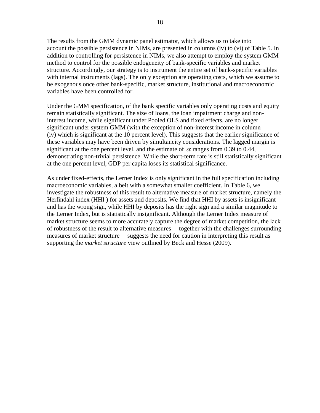The results from the GMM dynamic panel estimator, which allows us to take into account the possible persistence in NIMs, are presented in columns (iv) to (vi) of Table 5. In addition to controlling for persistence in NIMs, we also attempt to employ the system GMM method to control for the possible endogeneity of bank-specific variables and market structure. Accordingly, our strategy is to instrument the entire set of bank-specific variables with internal instruments (lags). The only exception are operating costs, which we assume to be exogenous once other bank-specific, market structure, institutional and macroeconomic variables have been controlled for.

Under the GMM specification, of the bank specific variables only operating costs and equity remain statistically significant. The size of loans, the loan impairment charge and noninterest income, while significant under Pooled OLS and fixed effects, are no longer significant under system GMM (with the exception of non-interest income in column (iv) which is significant at the 10 percent level). This suggests that the earlier significance of these variables may have been driven by simultaneity considerations. The lagged margin is significant at the one percent level, and the estimate of  $\alpha$  ranges from 0.39 to 0.44, demonstrating non-trivial persistence. While the short-term rate is still statistically significant at the one percent level, GDP per capita loses its statistical significance.

As under fixed-effects, the Lerner Index is only significant in the full specification including macroeconomic variables, albeit with a somewhat smaller coefficient. In Table 6, we investigate the robustness of this result to alternative measure of market structure, namely the Herfindahl index (HHI ) for assets and deposits. We find that HHI by assets is insignificant and has the wrong sign, while HHI by deposits has the right sign and a similar magnitude to the Lerner Index, but is statistically insignificant. Although the Lerner Index measure of market structure seems to more accurately capture the degree of market competition, the lack of robustness of the result to alternative measures— together with the challenges surrounding measures of market structure— suggests the need for caution in interpreting this result as supporting the *market structure* view outlined by Beck and Hesse (2009).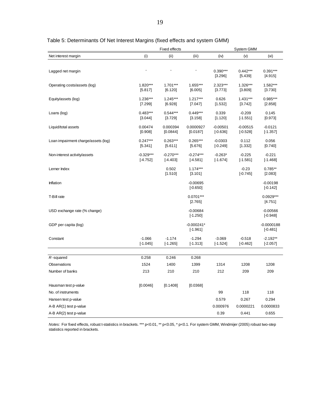|                                     |                           | System GMM                |                           |                         |                        |                          |
|-------------------------------------|---------------------------|---------------------------|---------------------------|-------------------------|------------------------|--------------------------|
| Net interest margin                 | (i)                       | (ii)                      | (iii)                     | (iv)                    | (v)                    | (v <sub>i</sub> )        |
|                                     |                           |                           |                           |                         |                        |                          |
| Lagged net margin                   |                           |                           |                           | $0.390***$              | $0.442***$             | $0.391***$               |
|                                     |                           |                           |                           | [3.296]                 | [5.439]                | [4.915]                  |
| Operating costs/assets (log)        | $1.820***$                | $1.701***$                | 1.655***                  | 2.323***                | $1.326***$             | $1.582***$               |
|                                     | [5.817]                   | [6.120]                   | [6.005]                   | [3.773]                 | [3.809]                | [3.730]                  |
| Equity/assets (log)                 | $1.236***$                | $1.245***$                | $1.217***$                | 0.626                   | $1.431***$             | 0.985***                 |
|                                     | [7.299]                   | [6.928]                   | [7.047]                   | [1.532]                 | [3.742]                | [2.858]                  |
| Loans (log)                         | $0.483***$                | $0.544***$                | $0.449***$                | 0.339                   | $-0.209$               | 0.145                    |
|                                     | [3.044]                   | [3.729]                   | [3.158]                   | [1.120]                 | $[-1.551]$             | [0.973]                  |
| Liquid/total assets                 | 0.00474                   | 0.000394                  | 0.0000927                 | $-0.00501$              | $-0.00515$             | $-0.0121$                |
|                                     | [0.908]                   | [0.0844]                  | [0.0187]                  | $[-0.636]$              | $[-0.528]$             | $[-1.357]$               |
| Loan impairment charge/assets (log) | $0.247***$                | $0.263***$<br>[5.611]     | $0.265***$<br>[5.676]     | $-0.0303$<br>$[-0.249]$ | 0.112<br>[1.332]       | 0.056<br>[0.740]         |
|                                     | [5.341]                   |                           |                           |                         |                        |                          |
| Non-interest activity/assets        | $-0.329***$<br>$[-4.752]$ | $-0.270***$<br>$[-4.403]$ | $-0.274***$<br>$[-4.581]$ | $-0.263*$<br>$[-1.674]$ | $-0.225$<br>$[-1.581]$ | $-0.221$<br>$[-1.468]$   |
|                                     |                           |                           |                           |                         |                        |                          |
| Lerner Index                        |                           | 0.502<br>[1.510]          | $1.174***$<br>[3.101]     |                         | $-0.23$<br>$[-0.745]$  | $0.785**$<br>[2.083]     |
|                                     |                           |                           |                           |                         |                        |                          |
| Inflation                           |                           |                           | $-0.00695$<br>$[-0.650]$  |                         |                        | $-0.00198$<br>$[-0.142]$ |
|                                     |                           |                           |                           |                         |                        |                          |
| T-Bill rate                         |                           |                           | $0.0701***$<br>[2.765]    |                         |                        | $0.0929***$<br>[4.751]   |
|                                     |                           |                           |                           |                         |                        |                          |
| USD exchange rate (% change)        |                           |                           | $-0.00684$<br>$[-1.250]$  |                         |                        | $-0.00566$<br>$[-0.948]$ |
|                                     |                           |                           | $-0.000241*$              |                         |                        | $-0.0000188$             |
| GDP per capita (log)                |                           |                           | $[-1.961]$                |                         |                        | $[-0.481]$               |
| Constant                            | $-1.066$                  | $-1.174$                  | $-1.294$                  | $-3.069$                | $-0.518$               | $-2.192**$               |
|                                     | $[-1.045]$                | $[-1.265]$                | $[-1.313]$                | $[-1.524]$              | $[-0.462]$             | $[-2.057]$               |
|                                     |                           |                           |                           |                         |                        |                          |
| R-squared                           | 0.258                     | 0.246                     | 0.268                     |                         |                        |                          |
| Observations                        | 1524                      | 1400                      | 1399                      | 1314                    | 1208                   | 1208                     |
| Number of banks                     | 213                       | 210                       | 210                       | 212                     | 209                    | 209                      |
|                                     |                           |                           |                           |                         |                        |                          |
| Hausman test p-value                | [0.0046]                  | [0.1408]                  | [0.0368]                  |                         |                        |                          |
| No. of instruments                  |                           |                           |                           | 99                      | 118                    | 118                      |
| Hansen test p-value                 |                           |                           |                           | 0.579                   | 0.267                  | 0.294                    |
| A-B AR(1) test p-value              |                           |                           |                           | 0.000976                | 0.0000221              | 0.0000833                |
| A-B AR(2) test p-value              |                           |                           |                           | 0.39                    | 0.441                  | 0.655                    |

Table 5: Determinants Of Net Interest Margins (fixed effects and system GMM)

*Notes:* For fixed effects, robust t-statistics in brackets. \*\*\* p<0.01, \*\* p<0.05, \* p<0.1. For system GMM, Windmijer (2005) robust two-step statistics reported in brackets.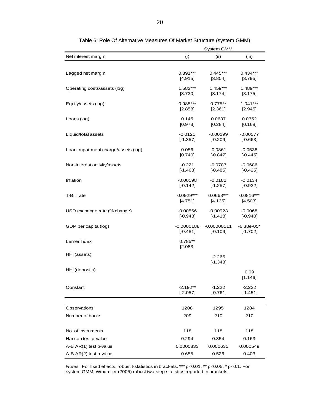|                                     | <b>System GMM</b>        |                         |                        |  |  |
|-------------------------------------|--------------------------|-------------------------|------------------------|--|--|
| Net interest margin                 | (i)                      | (i)                     | (iii)                  |  |  |
|                                     |                          |                         |                        |  |  |
| Lagged net margin                   | $0.391***$               | $0.445***$              | $0.434***$             |  |  |
|                                     | [4.915]                  | [3.804]                 | [3.795]                |  |  |
|                                     | 1.582***                 | $1.459***$              | $1.489***$             |  |  |
| Operating costs/assets (log)        | [3.730]                  | [3.174]                 | [3.175]                |  |  |
|                                     |                          |                         |                        |  |  |
| Equity/assets (log)                 | $0.985***$<br>[2.858]    | $0.775**$<br>[2.361]    | $1.041***$<br>[2.945]  |  |  |
|                                     |                          |                         |                        |  |  |
| Loans (log)                         | 0.145                    | 0.0637                  | 0.0352                 |  |  |
|                                     | [0.973]                  | [0.284]                 | [0.168]                |  |  |
| Liquid/total assets                 | $-0.0121$                | $-0.00199$              | $-0.00577$             |  |  |
|                                     | $[-1.357]$               | $[-0.209]$              | $[-0.663]$             |  |  |
| Loan impairment charge/assets (log) | 0.056                    | $-0.0861$               | $-0.0538$              |  |  |
|                                     | [0.740]                  | $[-0.847]$              | $[-0.445]$             |  |  |
| Non-interest activity/assets        | $-0.221$                 | $-0.0783$               | $-0.0686$              |  |  |
|                                     | $[-1.468]$               | $[-0.485]$              | $[-0.425]$             |  |  |
|                                     |                          |                         | $-0.0134$              |  |  |
| Inflation                           | $-0.00198$<br>$[-0.142]$ | $-0.0182$<br>$[-1.257]$ | $[-0.922]$             |  |  |
|                                     |                          |                         |                        |  |  |
| T-Bill rate                         | $0.0929***$              | $0.0668***$             | $0.0816***$            |  |  |
|                                     | [4.751]                  | [4.135]                 | [4.503]                |  |  |
| USD exchange rate (% change)        | $-0.00566$               | $-0.00923$              | $-0.0068$              |  |  |
|                                     | $[-0.948]$               | $[-1.418]$              | $[-0.940]$             |  |  |
| GDP per capita (log)                | $-0.0000188$             | $-0.00000511$           | $-6.38e-05*$           |  |  |
|                                     | $[-0.481]$               | $[-0.109]$              | $[-1.702]$             |  |  |
| Lerner Index                        | 0.785**                  |                         |                        |  |  |
|                                     | [2.083]                  |                         |                        |  |  |
| HHI (assets)                        |                          | $-2.265$                |                        |  |  |
|                                     |                          | $[-1.343]$              |                        |  |  |
| HHI (deposits)                      |                          |                         |                        |  |  |
|                                     |                          |                         | 0.99<br>[1.146]        |  |  |
|                                     |                          |                         |                        |  |  |
| Constant                            | $-2.192**$<br>$[-2.057]$ | -1.222<br>$[-0.761]$    | $-2.222$<br>$[-1.451]$ |  |  |
|                                     |                          |                         |                        |  |  |
| Observations                        | 1208                     | 1295                    | 1284                   |  |  |
|                                     |                          |                         |                        |  |  |
| Number of banks                     | 209                      | 210                     | 210                    |  |  |
|                                     |                          |                         |                        |  |  |
| No. of instruments                  | 118                      | 118                     | 118                    |  |  |
| Hansen test p-value                 | 0.294                    | 0.354                   | 0.163                  |  |  |
| A-B AR(1) test p-value              | 0.0000833                | 0.000635                | 0.000549               |  |  |
| A-B AR(2) test p-value              | 0.655                    | 0.526                   | 0.403                  |  |  |

Table 6: Role Of Alternative Measures Of Market Structure (system GMM)

*Notes:* For fixed effects, robust t-statistics in brackets. \*\*\* p<0.01, \*\* p<0.05, \* p<0.1. For system GMM, Windmijer (2005) robust two-step statistics reported in brackets.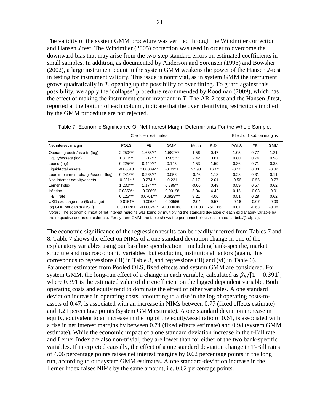The validity of the system GMM procedure was verified through the Windmijer correction and Hansen *J* test. The Windmijer (2005) correction was used in order to overcome the downward bias that may arise from the two-step standard errors on estimated coefficients in small samples. In addition, as documented by Anderson and Sorensen (1996) and Bowsher (2002), a large instrument count in the system GMM weakens the power of the Hansen *J-*test in testing for instrument validity. This issue is nontrivial, as in system GMM the instrument grows quadratically in *T*, opening up the possibility of over fitting. To guard against this possibility, we apply the 'collapse' procedure recommended by Roodman (2009), which has the effect of making the instrument count invariant in *T*. The AR-2 test and the Hansen *J* test, reported at the bottom of each column, indicate that the over identifying restrictions implied by the GMM procedure are not rejected.

|                                     | Coefficient estimates |              |              |         |         |             | Effect of 1 s.d. on margins |            |
|-------------------------------------|-----------------------|--------------|--------------|---------|---------|-------------|-----------------------------|------------|
| Net interest margin                 | <b>POLS</b>           | FE           | <b>GMM</b>   | Mean    | S.D.    | <b>POLS</b> | FE.                         | <b>GMM</b> |
| Operating costs/assets (log)        | $2.250***$            | 1.655***     | $.582***$    | 1.56    | 0.47    | 1.05        | 0.77                        | 1.21       |
| Equity/assets (log)                 | $1.310***$            | $1.217***$   | $0.985***$   | 2.42    | 0.61    | 0.80        | 0.74                        | 0.98       |
| Loans (log)                         | $0.225***$            | $0.449***$   | 0.145        | 4.53    | 1.59    | 0.36        | 0.71                        | 0.38       |
| Liquid/total assets                 | $-0.00613$            | 0.0000927    | $-0.0121$    | 27.90   | 16.02   | $-0.10$     | 0.00                        | $-0.32$    |
| Loan impairment charge/assets (log) | $0.241***$            | $0.265***$   | 0.056        | $-0.46$ | 1.18    | 0.28        | 0.31                        | 0.11       |
| Non-interest activity/assets        | $-0.281***$           | $-0.274***$  | $-0.221$     | 3.17    | 2.01    | $-0.56$     | $-0.55$                     | $-0.73$    |
| Lerner Index                        | $1.230***$            | $1.174***$   | $0.785**$    | $-0.06$ | 0.48    | 0.59        | 0.57                        | 0.62       |
| Inflation                           | $0.0350**$            | $-0.00695$   | $-0.00198$   | 5.84    | 4.42    | 0.15        | $-0.03$                     | $-0.01$    |
| T-Bill rate                         | $0.125***$            | $0.0701***$  | $0.0929***$  | 8.21    | 4.06    | 0.51        | 0.28                        | 0.62       |
| USD exchange rate (% change)        | $-0.0164**$           | $-0.00684$   | $-0.00566$   | $-2.04$ | 9.57    | $-0.16$     | $-0.07$                     | $-0.09$    |
| log GDP per capita (USD)            | 0.0000281             | $-0.000241*$ | $-0.0000188$ | 1811.03 | 2611.66 | 0.07        | $-0.63$                     | $-0.08$    |

Table 7: Economic Significance Of Net Interest Margin Determinants For the Whole Sample.

*Notes:* The economic impat of net interest margins was found by multiplying the standard deviation of each explanatory variable by the respective coefficient estimate. For system GMM, the table shows the permanent effect, calculated as beta/(1-alpha).

The economic significance of the regression results can be readily inferred from Tables 7 and 8. Table 7 shows the effect on NIMs of a one standard deviation change in one of the explanatory variables using our baseline specification – including bank-specific, market structure and macroeconomic variables, but excluding institutional factors (again, this corresponds to regressions (iii) in Table 3, and regressions (iii) and (vi) in Table 6). Parameter estimates from Pooled OLS, fixed effects and system GMM are considered. For system GMM, the long-run effect of a change in each variable, calculated as  $\beta_k/[1 - 0.391]$ , where 0.391 is the estimated value of the coefficient on the lagged dependent variable. Both operating costs and equity tend to dominate the effect of other variables. A one standard deviation increase in operating costs, amounting to a rise in the log of operating costs-toassets of 0.47, is associated with an increase in NIMs between 0.77 (fixed effects estimate) and 1.21 percentage points (system GMM estimate). A one standard deviation increase in equity, equivalent to an increase in the log of the equity/asset ratio of 0.61, is associated with a rise in net interest margins by between 0.74 (fixed effects estimate) and 0.98 (system GMM estimate). While the economic impact of a one standard deviation increase in the t-Bill rate and Lerner Index are also non-trivial, they are lower than for either of the two bank-specific variables. If interpreted causally, the effect of a one standard deviation change in T-Bill rates of 4.06 percentage points raises net interest margins by 0.62 percentage points in the long run, according to our system GMM estimates. A one standard-deviation increase in the Lerner Index raises NIMs by the same amount, i.e. 0.62 percentage points.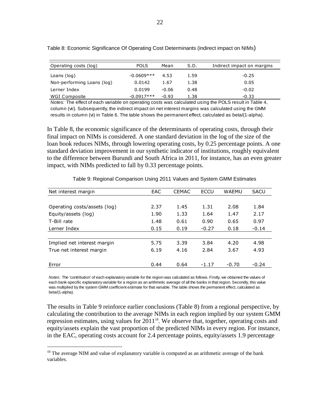| Operating costs (log)      | <b>POLS</b>  | Mean    | S.D. | Indirect impact on margins |
|----------------------------|--------------|---------|------|----------------------------|
| Loans (log)                | $-0.0609***$ | 4.53    | 1.59 | $-0.25$                    |
| Non-performing Loans (log) | 0.0142       | 1.67    | 1.38 | 0.05                       |
| Lerner Index               | 0.0199       | $-0.06$ | 0.48 | $-0.02$                    |
| WGI Composite              | $-0.0917***$ | $-0.93$ | 1.38 | $-0.33$                    |

Table 8: Economic Significance Of Operating Cost Determinants (indirect impact on NIMs)

*Notes:* The effect of each variable on operating costs was calculated using the POLS result in Table 4, column (vii). Subsequently, the indirect impact on net interest margins was calculated using the GMM results in column (vi) in Table 6. The table shows the permanent effect, calculated as beta/(1-alpha).

In Table 8, the economic significance of the determinants of operating costs, through their final impact on NIMs is considered. A one standard deviation in the log of the size of the loan book reduces NIMs, through lowering operating costs, by 0.25 percentage points. A one standard deviation improvement in our synthetic indicator of institutions, roughly equivalent to the difference between Burundi and South Africa in 2011, for instance, has an even greater impact, with NIMs predicted to fall by 0.33 percentage points.

| Net interest margin          | EAC  | <b>CEMAC</b> | ECCU    | WAEMU   | <b>SACU</b> |
|------------------------------|------|--------------|---------|---------|-------------|
|                              |      |              |         |         |             |
| Operating costs/assets (log) | 2.37 | 1.45         | 1.31    | 2.08    | 1.84        |
| Equity/assets (log)          | 1.90 | 1.33         | 1.64    | 1.47    | 2.17        |
| T-Bill rate                  | 1.48 | 0.61         | 0.90    | 0.65    | 0.97        |
| Lerner Index                 | 0.15 | 0.19         | $-0.27$ | 0.18    | $-0.14$     |
|                              |      |              |         |         |             |
| Implied net interest margin  | 5.75 | 3.39         | 3.84    | 4.20    | 4.98        |
| True net interest margin     | 6.19 | 4.16         | 2.84    | 3.67    | 4.93        |
|                              |      |              |         |         |             |
| Error                        | 0.44 | 0.64         | $-1.17$ | $-0.70$ | $-0.24$     |
|                              |      |              |         |         |             |

Table 9: Regional Comparison Using 2011 Values and System GMM Estimates

*Notes:* The 'contribution' of each explanatory variable for the region was calculated as follows. Firstly, we obtained the values of each bank-specific explanatory variable for a region as an arithmetic average of all the banks in that region. Secondly, this value was multiplied by the system GMM coefficient estimate for that variable. The table shows the permanent effect, calculated as beta/(1-alpha).

The results in Table 9 reinforce earlier conclusions (Table 8) from a regional perspective, by calculating the contribution to the average NIMs in each region implied by our system GMM regression estimates, using values for 2011<sup>18</sup>. We observe that, together, operating costs and equity/assets explain the vast proportion of the predicted NIMs in every region. For instance, in the EAC, operating costs account for 2.4 percentage points, equity/assets 1.9 percentage

<sup>&</sup>lt;sup>18</sup> The average NIM and value of explanatory variable is computed as an arithmetic average of the bank variables.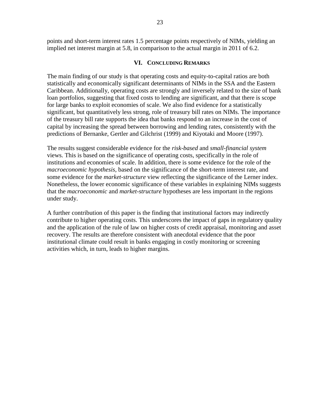points and short-term interest rates 1.5 percentage points respectively of NIMs, yielding an implied net interest margin at 5.8, in comparison to the actual margin in 2011 of 6.2.

## **VI. CONCLUDING REMARKS**

The main finding of our study is that operating costs and equity-to-capital ratios are both statistically and economically significant determinants of NIMs in the SSA and the Eastern Caribbean. Additionally, operating costs are strongly and inversely related to the size of bank loan portfolios, suggesting that fixed costs to lending are significant, and that there is scope for large banks to exploit economies of scale. We also find evidence for a statistically significant, but quantitatively less strong, role of treasury bill rates on NIMs. The importance of the treasury bill rate supports the idea that banks respond to an increase in the cost of capital by increasing the spread between borrowing and lending rates, consistently with the predictions of Bernanke, Gertler and Gilchrist (1999) and Kiyotaki and Moore (1997).

The results suggest considerable evidence for the *risk-based* and *small-financial system*  views. This is based on the significance of operating costs, specifically in the role of institutions and economies of scale. In addition, there is some evidence for the role of the *macroeconomic hypothesis,* based on the significance of the short-term interest rate, and some evidence for the *market-structure* view reflecting the significance of the Lerner index. Nonetheless, the lower economic significance of these variables in explaining NIMs suggests that the *macroeconomic* and *market-structure* hypotheses are less important in the regions under study.

A further contribution of this paper is the finding that institutional factors may indirectly contribute to higher operating costs. This underscores the impact of gaps in regulatory quality and the application of the rule of law on higher costs of credit appraisal, monitoring and asset recovery. The results are therefore consistent with anecdotal evidence that the poor institutional climate could result in banks engaging in costly monitoring or screening activities which, in turn, leads to higher margins.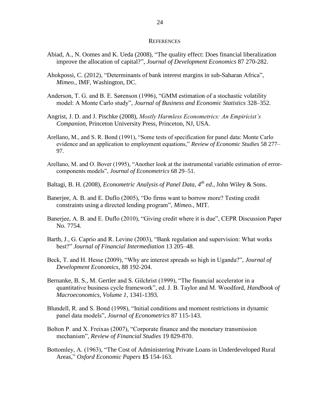#### **REFERENCES**

- Abiad, A., N. Oomes and K. Ueda (2008), "The quality effect: Does financial liberalization improve the allocation of capital?‖, *Journal of Development Economics* 87 270-282.
- Ahokpossi, C. (2012), "Determinants of bank interest margins in sub-Saharan Africa", *Mimeo.,* IMF, Washington, DC.
- Anderson, T. G. and B. E. Sørenson (1996), "GMM estimation of a stochastic volatility model: A Monte Carlo study", *Journal of Business and Economic Statistics* 328–352.
- Angrist, J. D. and J. Pischke (2008), *Mostly Harmless Econometrics: An Empiricist's Companion*, Princeton University Press, Princeton, NJ, USA.
- Arellano, M., and S. R. Bond (1991), "Some tests of specification for panel data: Monte Carlo evidence and an application to employment equations," *Review of Economic Studies* 58 277– 97.
- Arellano, M. and O. Bover (1995), "Another look at the instrumental variable estimation of errorcomponents models", *Journal of Econometrics* 68 29–51.
- Baltagi, B. H. (2008), *Econometric Analysis of Panel Data*, *4 th ed.*, John Wiley & Sons.
- Banerjee, A. B. and E. Duflo (2005), "Do firms want to borrow more? Testing credit constraints using a directed lending program", *Mimeo.*, MIT.
- Banerjee, A. B. and E. Duflo (2010), "Giving credit where it is due", CEPR Discussion Paper No. 7754.
- Barth, J., G. Caprio and R. Levine (2003), "Bank regulation and supervision: What works best?‖ *Journal of Financial Intermediation* 13 205–48.
- Beck, T. and H. Hesse (2009), "Why are interest spreads so high in Uganda?", *Journal of Development Economics*, 88 192-204.
- Bernanke, B. S., M. Gertler and S. Gilchrist (1999), "The financial accelerator in a quantitative business cycle framework", ed. J. B. Taylor and M. Woodford, *Handbook of Macroeconomics, Volume 1*, 1341-1393.
- Blundell, R. and S. Bond (1998), "Initial conditions and moment restrictions in dynamic panel data models", *Journal of Econometrics* 87 115-143.
- Bolton P. and X. Freixas (2007), "Corporate finance and the monetary transmission mechanism", *Review of Financial Studies* 19 829-870.
- Bottomley, A. (1963), "The Cost of Administering Private Loans in Underdeveloped Rural Areas,‖ *Oxford Economic Papers* **15** 154-163.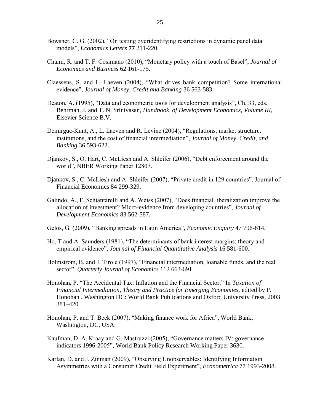- Bowsher, C. G. (2002), "On testing overidentifying restrictions in dynamic panel data models‖, *Economics Letters* **77** 211-220.
- Chami, R. and T. F. Cosimano (2010), "Monetary policy with a touch of Basel", *Journal of Economics and Business* 62 161-175.
- Claessens, S. and L. Laeven (2004), "What drives bank competition? Some international evidence", *Journal of Money, Credit and Banking* 36 563-583.
- Deaton, A. (1995), "Data and econometric tools for development analysis", Ch. 33, eds. Behrman, J. and T. N. Srinivasan, *Handbook of Development Economics, Volume III*, Elsevier Science B.V.
- Demirguc-Kunt, A., L. Laeven and R. Levine (2004), "Regulations, market structure, institutions, and the cost of financial intermediation", *Journal of Money, Credit, and Banking* 36 593-622.
- Djankov, S., O. Hart, C. McLiesh and A. Shleifer (2006), "Debt enforcement around the world", NBER Working Paper 12807.
- Djankov, S., C. McLiesh and A. Shleifer (2007), "Private credit in 129 countries", Journal of Financial Economics 84 299-329.
- Galindo, A., F. Schiantarelli and A. Weiss (2007), "Does financial liberalization improve the allocation of investment? Micro-evidence from developing countries", *Journal of Development Economics* 83 562-587.
- Gelos, G. (2009), "Banking spreads in Latin America", *Economic Enquiry* 47 796-814.
- Ho, T and A. Saunders (1981), "The determinants of bank interest margins: theory and empirical evidence", *Journal of Financial Quantitative Analysis* 16581-600.
- Holmstrom, B. and J. Tirole (1997), "Financial intermediation, loanable funds, and the real sector", *Quarterly Journal of Economics* 112 663-691.
- Honohan, P. "The Accidental Tax: Inflation and the Financial Sector." In *Taxation of Financial Intermediation, Theory and Practice for Emerging Economies,* edited by P. Honohan . Washington DC: World Bank Publications and Oxford University Press, 2003 381–420
- Honohan, P. and T. Beck (2007), "Making finance work for Africa", World Bank, Washington, DC, USA.
- Kaufman, D. A. Kraay and G. Mastruzzi (2005), "Governance matters IV: governance indicators 1996-2005", World Bank Policy Research Working Paper 3630.
- Karlan, D. and J. Zinman (2009), "Observing Unobservables: Identifying Information Asymmetries with a Consumer Credit Field Experiment", *Econometrica* 77 1993-2008.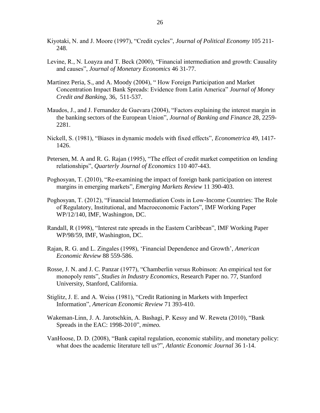- Kiyotaki, N. and J. Moore (1997), "Credit cycles", *Journal of Political Economy* 105 211-248.
- Levine, R., N. Loayza and T. Beck (2000), "Financial intermediation and growth: Causality and causes", *Journal of Monetary Economics* 46 31-77.
- Martinez Peria, S., and A. Moody (2004), "How Foreign Participation and Market Concentration Impact Bank Spreads: Evidence from Latin America" *Journal of Money Credit and Banking*, 36, 511-537.
- Maudos, J., and J. Fernandez de Guevara (2004), "Factors explaining the interest margin in the banking sectors of the European Union‖, *Journal of Banking and Finance* 28, 2259- 2281.
- Nickell, S. (1981), "Biases in dynamic models with fixed effects", *Econometrica* 49, 1417-1426.
- Petersen, M. A and R. G. Rajan (1995), "The effect of credit market competition on lending relationships", *Quarterly Journal of Economics* 110 407-443.
- Poghosyan, T. (2010), "Re-examining the impact of foreign bank participation on interest margins in emerging markets‖, *Emerging Markets Review* 11 390-403.
- Poghosyan, T. (2012), "Financial Intermediation Costs in Low-Income Countries: The Role of Regulatory, Institutional, and Macroeconomic Factors", IMF Working Paper WP/12/140, IMF, Washington, DC.
- Randall, R (1998), "Interest rate spreads in the Eastern Caribbean", IMF Working Paper WP/98/59, IMF, Washington, DC.
- Rajan, R. G. and L. Zingales (1998), ‗Financial Dependence and Growth', *American Economic Review* 88 559-586.
- Rosse, J. N. and J. C. Panzar (1977), "Chamberlin versus Robinson: An empirical test for monopoly rents", *Studies in Industry Economics*, Research Paper no. 77, Stanford University, Stanford, California.
- Stiglitz, J. E. and A. Weiss (1981), "Credit Rationing in Markets with Imperfect Information‖, *American Economic Review* 71 393-410.
- Wakeman-Linn, J. A. Jarotschkin, A. Bashagi, P. Kessy and W. Reweta (2010), "Bank Spreads in the EAC: 1998-2010", *mimeo.*
- VanHoose, D. D. (2008), "Bank capital regulation, economic stability, and monetary policy: what does the academic literature tell us?", *Atlantic Economic Journal* 36 1-14.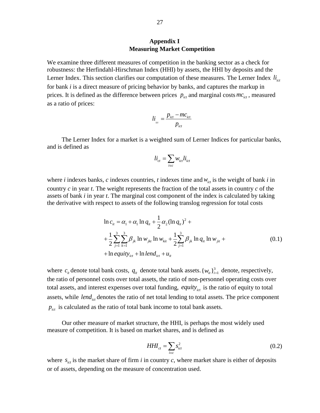# **Appendix I Measuring Market Competition**

We examine three different measures of competition in the banking sector as a check for robustness: the Herfindahl-Hirschman Index (HHI) by assets, the HHI by deposits and the Lerner Index. This section clarifies our computation of these measures. The Lerner Index  $li_{ct}$ for bank *i* is a direct measure of pricing behavior by banks, and captures the markup in prices. It is defined as the difference between prices  $p_{ict}$  and marginal costs  $mc_{ict}$ , measured as a ratio of prices:

$$
li_{_{ict}} = \frac{p_{_{ict}} - mc_{_{ict}}}{p_{_{ict}}}
$$

The Lerner Index for a market is a weighted sum of Lerner Indices for particular banks, and is defined as

$$
li_{ct} = \sum_{i \in c} w_{ict} li_{ict}
$$

where *i* indexes banks, *c* indexes countries, *t* indexes time and  $w_{ict}$  is the weight of bank *i* in country *c* in year *t*. The weight represents the fraction of the total assets in country *c* of the assets of bank *i* in year *t*. The marginal cost component of the index is calculated by taking the derivative with respect to assets of the following translog regression for total costs

$$
\ln c_{ii} = \alpha_1 + \alpha_1 \ln q_{ii} + \frac{1}{2} \alpha_2 (\ln q_{ii})^2 + + \frac{1}{2} \sum_{j=1}^3 \sum_{k=1}^3 \beta_{jk} \ln w_{jkt} \ln w_{kit} + \frac{1}{2} \sum_{j=1}^3 \beta_{jk} \ln q_{ii} \ln w_{jit} + + \ln equity_{ict} + \ln lend_{ict} + u_{it}
$$
 (0.1)

where  $c_i$  denote total bank costs,  $q_i$  denote total bank assets.  $\{w_i\}_{i=1}^3$  $\{w_{it}\}_{i=1}^3$  denote, respectively, the ratio of personnel costs over total assets, the ratio of non-personnel operating costs over total assets, and interest expenses over total funding, equity<sub>ict</sub> is the ratio of equity to total assets, while *lend<sub>ict</sub>* denotes the ratio of net total lending to total assets. The price component  $p_{ict}$  is calculated as the ratio of total bank income to total bank assets.

Our other measure of market structure, the HHI, is perhaps the most widely used measure of competition. It is based on market shares, and is defined as

$$
HHI_{ct} = \sum_{i \in c} s_{ict}^2 \tag{0.2}
$$

where  $s_{ict}$  is the market share of firm *i* in country *c*, where market share is either of deposits or of assets, depending on the measure of concentration used.